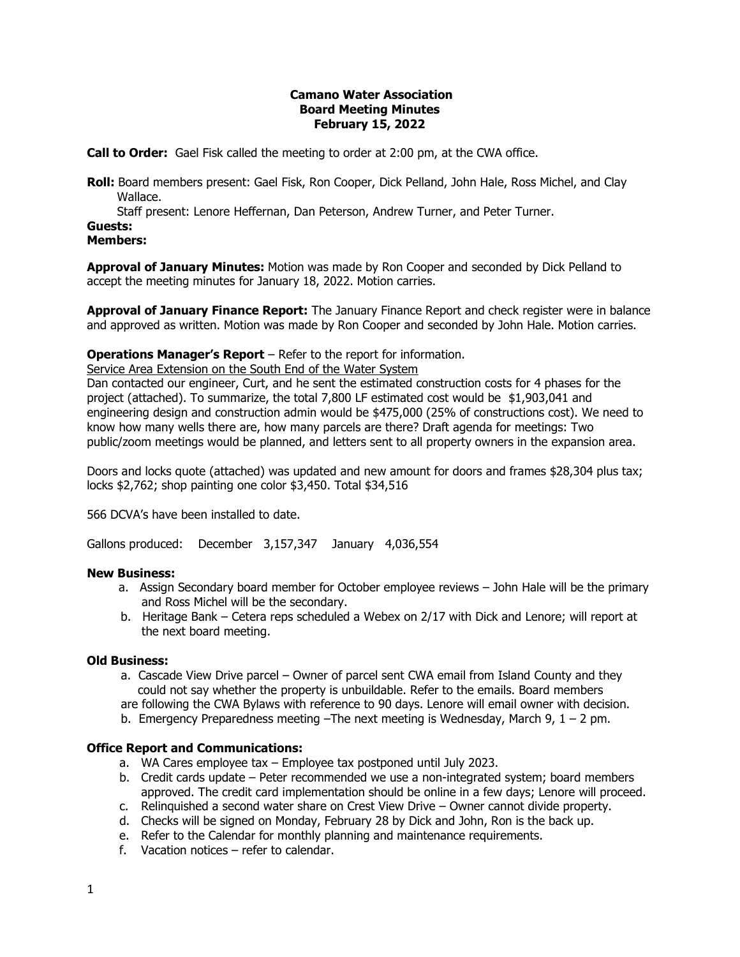#### **Camano Water Association Board Meeting Minutes February 15, 2022**

**Call to Order:** Gael Fisk called the meeting to order at 2:00 pm, at the CWA office.

**Roll:** Board members present: Gael Fisk, Ron Cooper, Dick Pelland, John Hale, Ross Michel, and Clay Wallace.

Staff present: Lenore Heffernan, Dan Peterson, Andrew Turner, and Peter Turner.

# **Guests:**

**Members:**

**Approval of January Minutes:** Motion was made by Ron Cooper and seconded by Dick Pelland to accept the meeting minutes for January 18, 2022. Motion carries.

**Approval of January Finance Report:** The January Finance Report and check register were in balance and approved as written. Motion was made by Ron Cooper and seconded by John Hale. Motion carries.

### **Operations Manager's Report** – Refer to the report for information.

Service Area Extension on the South End of the Water System

Dan contacted our engineer, Curt, and he sent the estimated construction costs for 4 phases for the project (attached). To summarize, the total 7,800 LF estimated cost would be \$1,903,041 and engineering design and construction admin would be \$475,000 (25% of constructions cost). We need to know how many wells there are, how many parcels are there? Draft agenda for meetings: Two public/zoom meetings would be planned, and letters sent to all property owners in the expansion area.

Doors and locks quote (attached) was updated and new amount for doors and frames \$28,304 plus tax; locks \$2,762; shop painting one color \$3,450. Total \$34,516

566 DCVA's have been installed to date.

Gallons produced: December 3,157,347 January 4,036,554

#### **New Business:**

- a. Assign Secondary board member for October employee reviews John Hale will be the primary and Ross Michel will be the secondary.
- b. Heritage Bank Cetera reps scheduled a Webex on 2/17 with Dick and Lenore; will report at the next board meeting.

#### **Old Business:**

- a. Cascade View Drive parcel Owner of parcel sent CWA email from Island County and they could not say whether the property is unbuildable. Refer to the emails. Board members are following the CWA Bylaws with reference to 90 days. Lenore will email owner with decision.
- b. Emergency Preparedness meeting –The next meeting is Wednesday, March 9, 1 2 pm.

## **Office Report and Communications:**

- a. WA Cares employee tax Employee tax postponed until July 2023.
- b. Credit cards update Peter recommended we use a non-integrated system; board members approved. The credit card implementation should be online in a few days; Lenore will proceed.
- c. Relinquished a second water share on Crest View Drive Owner cannot divide property.
- d. Checks will be signed on Monday, February 28 by Dick and John, Ron is the back up.
- e. Refer to the Calendar for monthly planning and maintenance requirements.
- f. Vacation notices refer to calendar.